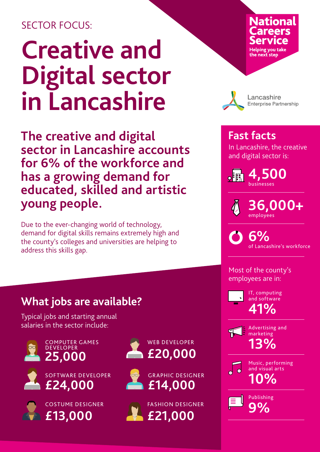## SECTOR FOCUS:

# **Creative and Digital sector in Lancashire**

**The creative and digital sector in Lancashire accounts for 6% of the workforce and has a growing demand for educated, skilled and artistic young people.**

Due to the ever-changing world of technology, demand for digital skills remains extremely high and the county's colleges and universities are helping to address this skills gap.

## **National** Helping you <mark>take</mark><br>the next step



Lancashire **Enterprise Partnership** 

#### **Fast facts**

In Lancashire, the creative and digital sector is:

**4,500**   $\bullet$ businesses

> **36,000+**  employees

**6%**  of Lancashire's workforce

Most of the county's employees are in:



**41%** IT, computing and software



**13%** Advertising and marketing



Music, performing and visual arts

**9%** Publishing

## **What jobs are available?**

Typical jobs and starting annual salaries in the sector include:



COMPUTER GAMES **DEVELOPER**